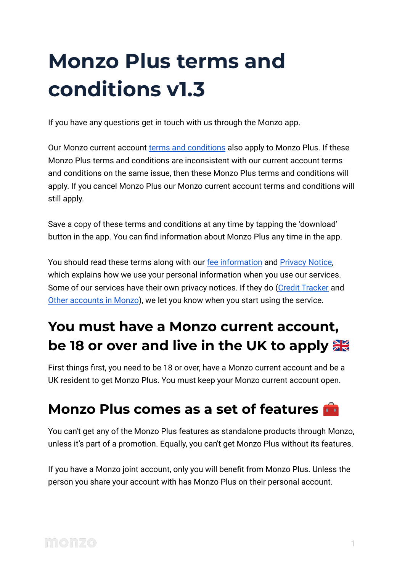# **Monzo Plus terms and conditions v1.3**

If you have any questions get in touch with us through the Monzo app.

Our Monzo current account [terms and conditions](https://monzo.com/legal/terms-and-conditions/) also apply to Monzo Plus. If these Monzo Plus terms and conditions are inconsistent with our current account terms and conditions on the same issue, then these Monzo Plus terms and conditions will apply. If you cancel Monzo Plus our Monzo current account terms and conditions will still apply.

Save a copy of these terms and conditions at any time by tapping the 'download' button in the app. You can find information about Monzo Plus any time in the app.

You should read these terms along with our [fee information](https://monzo.com/legal/plus/fee-information) and **Privacy Notice**, which explains how we use your personal information when you use our services. Some of our services have their own privacy notices. If they do [\(Credit Tracker](https://monzo.com/legal/plus/credit-tracker-terms-and-conditions) and [Other accounts in Monzo](https://monzo.com/legal/plus/other-accounts-in-monzo-terms-and-conditions)), we let you know when you start using the service.

# **You must have a Monzo current account, be 18 or over and live in the UK to apply**

First things first, you need to be 18 or over, have a Monzo current account and be a UK resident to get Monzo Plus. You must keep your Monzo current account open.

### **Monzo Plus comes as a set of features**

You can't get any of the Monzo Plus features as standalone products through Monzo, unless it's part of a promotion. Equally, you can't get Monzo Plus without its features.

If you have a Monzo joint account, only you will benefit from Monzo Plus. Unless the person you share your account with has Monzo Plus on their personal account.

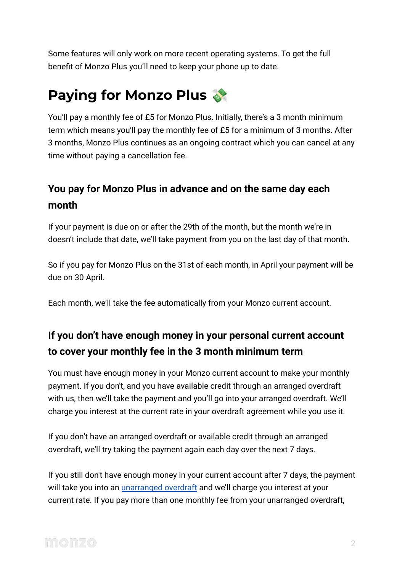Some features will only work on more recent operating systems. To get the full benefit of Monzo Plus you'll need to keep your phone up to date.

# **Paying for Monzo Plus**

You'll pay a monthly fee of £5 for Monzo Plus. Initially, there's a 3 month minimum term which means you'll pay the monthly fee of £5 for a minimum of 3 months. After 3 months, Monzo Plus continues as an ongoing contract which you can cancel at any time without paying a cancellation fee.

#### **You pay for Monzo Plus in advance and on the same day each month**

If your payment is due on or after the 29th of the month, but the month we're in doesn't include that date, we'll take payment from you on the last day of that month.

So if you pay for Monzo Plus on the 31st of each month, in April your payment will be due on 30 April.

Each month, we'll take the fee automatically from your Monzo current account.

#### **If you don't have enough money in your personal current account to cover your monthly fee in the 3 month minimum term**

You must have enough money in your Monzo current account to make your monthly payment. If you don't, and you have available credit through an arranged overdraft with us, then we'll take the payment and you'll go into your arranged overdraft. We'll charge you interest at the current rate in your overdraft agreement while you use it.

If you don't have an arranged overdraft or available credit through an arranged overdraft, we'll try taking the payment again each day over the next 7 days.

If you still don't have enough money in your current account after 7 days, the payment will take you into an *[unarranged overdraft](https://monzo.com/help/overdrafts-loans/unauthorised-overdrafts)* and we'll charge you interest at your current rate. If you pay more than one monthly fee from your unarranged overdraft,

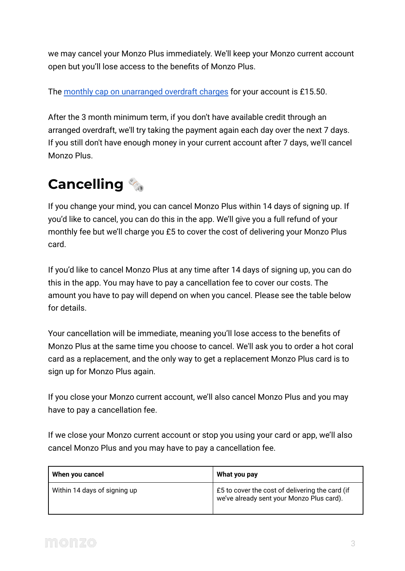we may cancel your Monzo Plus immediately. We'll keep your Monzo current account open but you'll lose access to the benefits of Monzo Plus.

The [monthly cap on unarranged overdraft charges](https://monzo.com/legal/terms-and-conditions/overdraft-charges-monthly-cap) for your account is £15.50.

After the 3 month minimum term, if you don't have available credit through an arranged overdraft, we'll try taking the payment again each day over the next 7 days. If you still don't have enough money in your current account after 7 days, we'll cancel Monzo Plus.

# **Cancelling**

If you change your mind, you can cancel Monzo Plus within 14 days of signing up. If you'd like to cancel, you can do this in the app. We'll give you a full refund of your monthly fee but we'll charge you £5 to cover the cost of delivering your Monzo Plus card.

If you'd like to cancel Monzo Plus at any time after 14 days of signing up, you can do this in the app. You may have to pay a cancellation fee to cover our costs. The amount you have to pay will depend on when you cancel. Please see the table below for details.

Your cancellation will be immediate, meaning you'll lose access to the benefits of Monzo Plus at the same time you choose to cancel. We'll ask you to order a hot coral card as a replacement, and the only way to get a replacement Monzo Plus card is to sign up for Monzo Plus again.

If you close your Monzo current account, we'll also cancel Monzo Plus and you may have to pay a cancellation fee.

If we close your Monzo current account or stop you using your card or app, we'll also cancel Monzo Plus and you may have to pay a cancellation fee.

| When you cancel              | What you pay                                                                                 |
|------------------------------|----------------------------------------------------------------------------------------------|
| Within 14 days of signing up | £5 to cover the cost of delivering the card (if<br>we've already sent your Monzo Plus card). |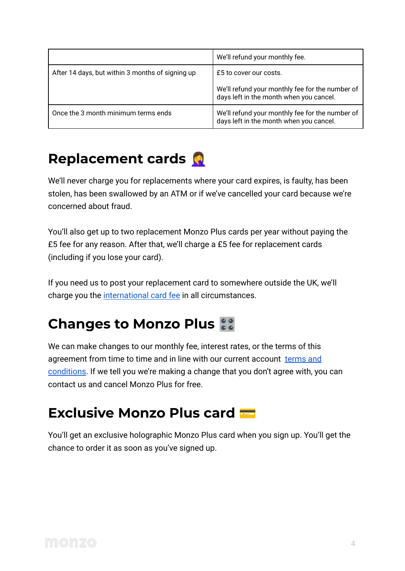|                                                  | We'll refund your monthly fee.                                                             |
|--------------------------------------------------|--------------------------------------------------------------------------------------------|
| After 14 days, but within 3 months of signing up | £5 to cover our costs.                                                                     |
|                                                  | We'll refund your monthly fee for the number of<br>days left in the month when you cancel. |
| Once the 3 month minimum terms ends              | We'll refund your monthly fee for the number of<br>days left in the month when you cancel. |

### **Replacement cards**

We'll never charge you for replacements where your card expires, is faulty, has been stolen, has been swallowed by an ATM or if we've cancelled your card because we're concerned about fraud.

You'll also get up to two replacement Monzo Plus cards per year without paying the £5 fee for any reason. After that, we'll charge a £5 fee for replacement cards (including if you lose your card).

If you need us to post your replacement card to somewhere outside the UK, we'll charge you the [international card fee](https://monzo.com/legal/plus/fee-information) in all circumstances.

# **Changes to Monzo Plus**

We can make changes to our monthly fee, interest rates, or the terms of this agreement from time to time and in line with our current account [terms and](https://monzo.com/legal/terms-and-conditions) [conditions.](https://monzo.com/legal/terms-and-conditions) If we tell you we're making a change that you don't agree with, you can contact us and cancel Monzo Plus for free.

### **Exclusive Monzo Plus card**

You'll get an exclusive holographic Monzo Plus card when you sign up. You'll get the chance to order it as soon as you've signed up.

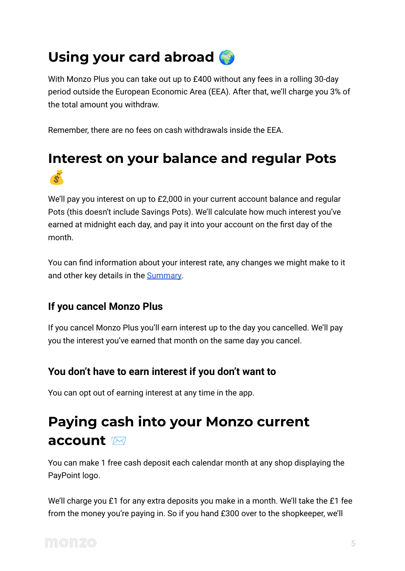# **Using your card abroad**

With Monzo Plus you can take out up to £400 without any fees in a rolling 30-day period outside the European Economic Area (EEA). After that, we'll charge you 3% of the total amount you withdraw.

Remember, there are no fees on cash withdrawals inside the EEA.

### **Interest on your balance and regular Pots**  $\mathscr{R}$

We'll pay you interest on up to £2,000 in your current account balance and regular Pots (this doesn't include Savings Pots). We'll calculate how much interest you've earned at midnight each day, and pay it into your account on the first day of the month.

You can find information about your interest rate, any changes we might make to it and other key details in the **[Summary](https://monzo.com/legal/plus/savings-summary/)**.

#### **If you cancel Monzo Plus**

If you cancel Monzo Plus you'll earn interest up to the day you cancelled. We'll pay you the interest you've earned that month on the same day you cancel.

#### **You don't have to earn interest if you don't want to**

You can opt out of earning interest at any time in the app.

# **Paying cash into your Monzo current account**

You can make 1 free cash deposit each calendar month at any shop displaying the PayPoint logo.

We'll charge you £1 for any extra deposits you make in a month. We'll take the £1 fee from the money you're paying in. So if you hand £300 over to the shopkeeper, we'll

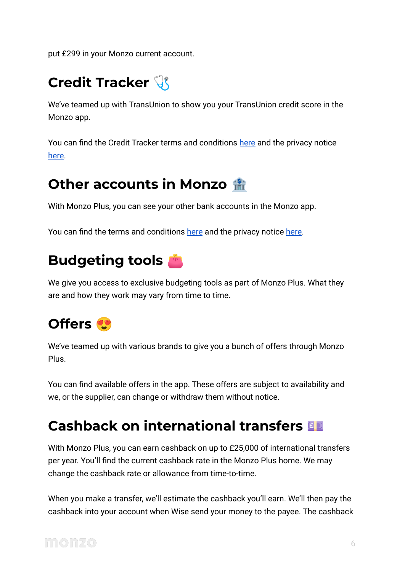put £299 in your Monzo current account.

# **Credit Tracker**

We've teamed up with TransUnion to show you your TransUnion credit score in the Monzo app.

You can find the Credit Tracker terms and conditions [here](https://monzo.com/legal/plus/credit-tracker-terms-and-conditions/) and the privacy notice [here](https://monzo.com/legal/plus/credit-tracker-privacy-notice/).

### **Other accounts in Monzo**

With Monzo Plus, you can see your other bank accounts in the Monzo app.

You can find the terms and conditions [here](https://monzo.com/legal/plus/other-accounts-in-monzo-privacy-notice/) and the privacy notice here.

# **Budgeting tools**

We give you access to exclusive budgeting tools as part of Monzo Plus. What they are and how they work may vary from time to time.

# **Offers**

We've teamed up with various brands to give you a bunch of offers through Monzo Plus.

You can find available offers in the app. These offers are subject to availability and we, or the supplier, can change or withdraw them without notice.

# **Cashback on international transfers**

With Monzo Plus, you can earn cashback on up to £25,000 of international transfers per year. You'll find the current cashback rate in the Monzo Plus home. We may change the cashback rate or allowance from time-to-time.

When you make a transfer, we'll estimate the cashback you'll earn. We'll then pay the cashback into your account when Wise send your money to the payee. The cashback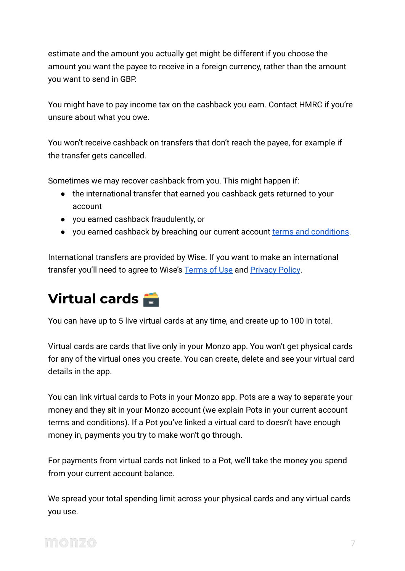estimate and the amount you actually get might be different if you choose the amount you want the payee to receive in a foreign currency, rather than the amount you want to send in GBP.

You might have to pay income tax on the cashback you earn. Contact HMRC if you're unsure about what you owe.

You won't receive cashback on transfers that don't reach the payee, for example if the transfer gets cancelled.

Sometimes we may recover cashback from you. This might happen if:

- the international transfer that earned you cashback gets returned to your account
- you earned cashback fraudulently, or
- you earned cashback by breaching our current account [terms and conditions.](https://monzo.com/legal/terms-and-conditions)

International transfers are provided by Wise. If you want to make an international transfer you'll need to agree to Wise's [Terms of Use](https://wise.com/terms-of-use) and [Privacy Policy](https://wise.com/gb/legal/privacy-policy).

# **Virtual cards**

You can have up to 5 live virtual cards at any time, and create up to 100 in total.

Virtual cards are cards that live only in your Monzo app. You won't get physical cards for any of the virtual ones you create. You can create, delete and see your virtual card details in the app.

You can link virtual cards to Pots in your Monzo app. Pots are a way to separate your money and they sit in your Monzo account (we explain Pots in your current account terms and conditions). If a Pot you've linked a virtual card to doesn't have enough money in, payments you try to make won't go through.

For payments from virtual cards not linked to a Pot, we'll take the money you spend from your current account balance.

We spread your total spending limit across your physical cards and any virtual cards you use.